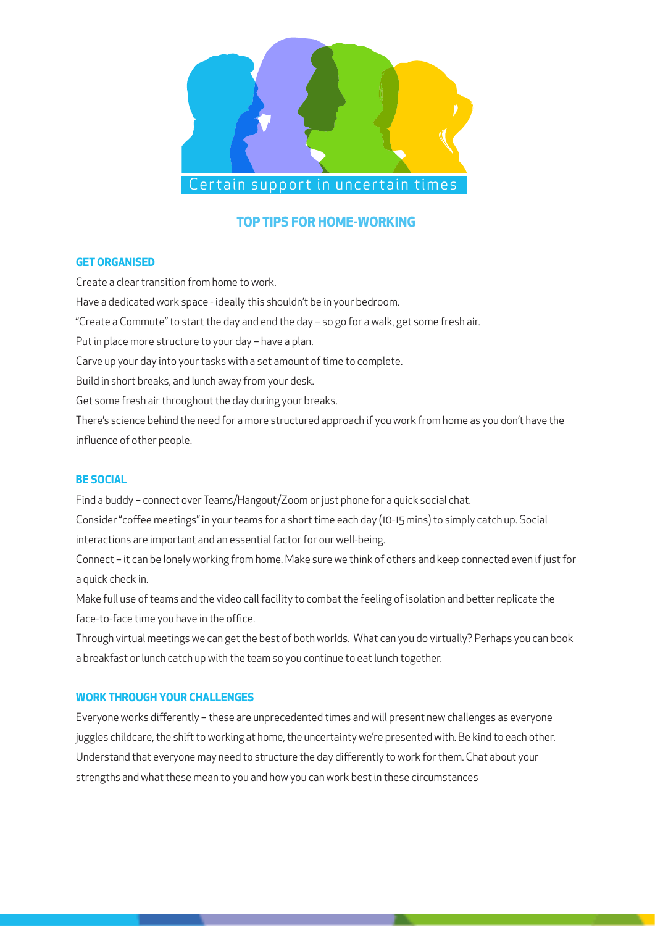

# **TOP TIPS FOR HOME-WORKING**

# **GET ORGANISED**

Create a clear transition from home to work. Have a dedicated work space - ideally this shouldn't be in your bedroom. "Create a Commute" to start the day and end the day – so go for a walk, get some fresh air. Put in place more structure to your day – have a plan. Carve up your day into your tasks with a set amount of time to complete. Build in short breaks, and lunch away from your desk. Get some fresh air throughout the day during your breaks. There's science behind the need for a more structured approach if you work from home as you don't have the influence of other people.

# **BE SOCIAL**

Find a buddy – connect over Teams/Hangout/Zoom or just phone for a quick social chat. Consider "coffee meetings" in your teams for a short time each day (10-15 mins) to simply catch up. Social interactions are important and an essential factor for our well-being.

Connect – it can be lonely working from home. Make sure we think of others and keep connected even if just for a quick check in.

Make full use of teams and the video call facility to combat the feeling of isolation and better replicate the face-to-face time you have in the office.

Through virtual meetings we can get the best of both worlds. What can you do virtually? Perhaps you can book a breakfast or lunch catch up with the team so you continue to eat lunch together.

# **WORK THROUGH YOUR CHALLENGES**

Everyone works differently – these are unprecedented times and will present new challenges as everyone juggles childcare, the shift to working at home, the uncertainty we're presented with. Be kind to each other. Understand that everyone may need to structure the day differently to work for them. Chat about your strengths and what these mean to you and how you can work best in these circumstances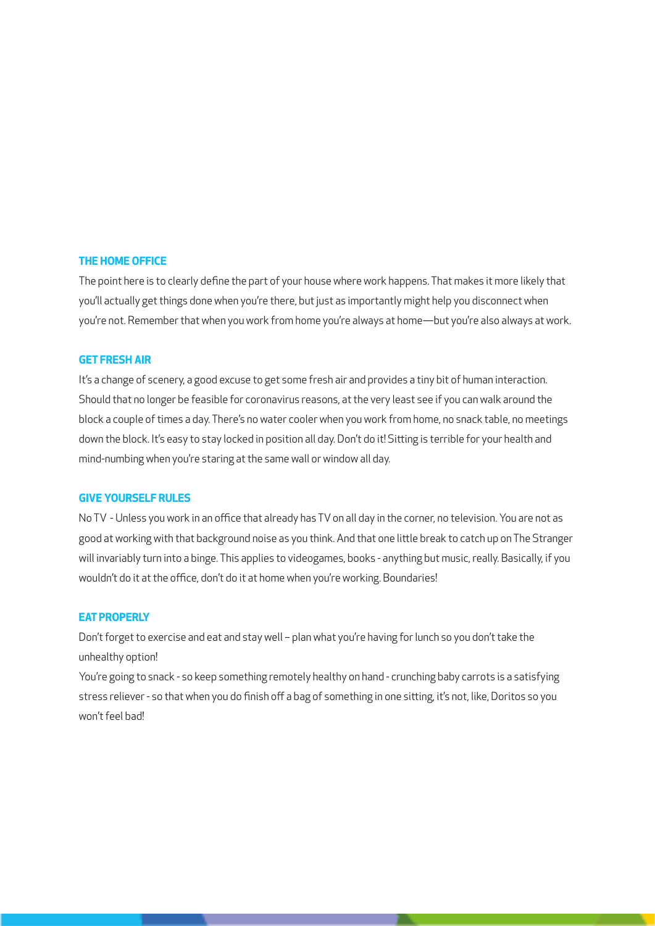#### **THE HOME OFFICE**

The point here is to clearly define the part of your house where work happens. That makes it more likely that you'll actually get things done when you're there, but just as importantly might help you disconnect when you're not. Remember that when you work from home you're always at home—but you're also always at work.

### **GET FRESH AIR**

It's a change of scenery, a good excuse to get some fresh air and provides a tiny bit of human interaction. Should that no longer be feasible for coronavirus reasons, at the very least see if you can walk around the block a couple of times a day. There's no water cooler when you work from home, no snack table, no meetings down the block. It's easy to stay locked in position all day. Don't do it! Sitting is terrible for your health and mind-numbing when you're staring at the same wall or window all day.

#### **GIVE YOURSELF RULES**

No TV - Unless you work in an office that already has TV on all day in the corner, no television. You are not as good at working with that background noise as you think. And that one little break to catch up on The Stranger will invariably turn into a binge. This applies to videogames, books - anything but music, really. Basically, if you wouldn't do it at the office, don't do it at home when you're working. Boundaries!

#### **EAT PROPERLY**

Don't forget to exercise and eat and stay well – plan what you're having for lunch so you don't take the unhealthy option!

You're going to snack - so keep something remotely healthy on hand - crunching baby carrots is a satisfying stress reliever - so that when you do finish off a bag of something in one sitting, it's not, like, Doritos so you won't feel bad!